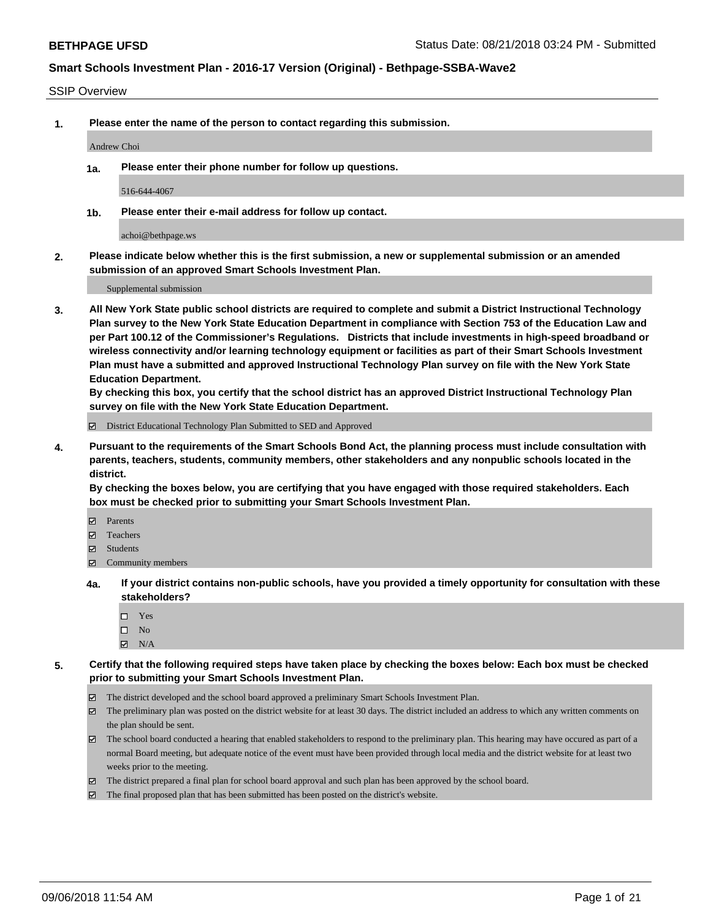### SSIP Overview

**1. Please enter the name of the person to contact regarding this submission.**

#### Andrew Choi

**1a. Please enter their phone number for follow up questions.**

516-644-4067

**1b. Please enter their e-mail address for follow up contact.**

achoi@bethpage.ws

**2. Please indicate below whether this is the first submission, a new or supplemental submission or an amended submission of an approved Smart Schools Investment Plan.**

Supplemental submission

**3. All New York State public school districts are required to complete and submit a District Instructional Technology Plan survey to the New York State Education Department in compliance with Section 753 of the Education Law and per Part 100.12 of the Commissioner's Regulations. Districts that include investments in high-speed broadband or wireless connectivity and/or learning technology equipment or facilities as part of their Smart Schools Investment Plan must have a submitted and approved Instructional Technology Plan survey on file with the New York State Education Department.** 

**By checking this box, you certify that the school district has an approved District Instructional Technology Plan survey on file with the New York State Education Department.**

District Educational Technology Plan Submitted to SED and Approved

**4. Pursuant to the requirements of the Smart Schools Bond Act, the planning process must include consultation with parents, teachers, students, community members, other stakeholders and any nonpublic schools located in the district.** 

**By checking the boxes below, you are certifying that you have engaged with those required stakeholders. Each box must be checked prior to submitting your Smart Schools Investment Plan.**

- **Parents**
- Teachers
- **☑** Students
- **☑** Community members
- **4a. If your district contains non-public schools, have you provided a timely opportunity for consultation with these stakeholders?**
	- Yes
	- $\square$  No
	- $\boxtimes$  N/A
- **5. Certify that the following required steps have taken place by checking the boxes below: Each box must be checked prior to submitting your Smart Schools Investment Plan.**
	- The district developed and the school board approved a preliminary Smart Schools Investment Plan.
	- $\boxtimes$  The preliminary plan was posted on the district website for at least 30 days. The district included an address to which any written comments on the plan should be sent.
	- The school board conducted a hearing that enabled stakeholders to respond to the preliminary plan. This hearing may have occured as part of a normal Board meeting, but adequate notice of the event must have been provided through local media and the district website for at least two weeks prior to the meeting.
	- The district prepared a final plan for school board approval and such plan has been approved by the school board.
	- The final proposed plan that has been submitted has been posted on the district's website.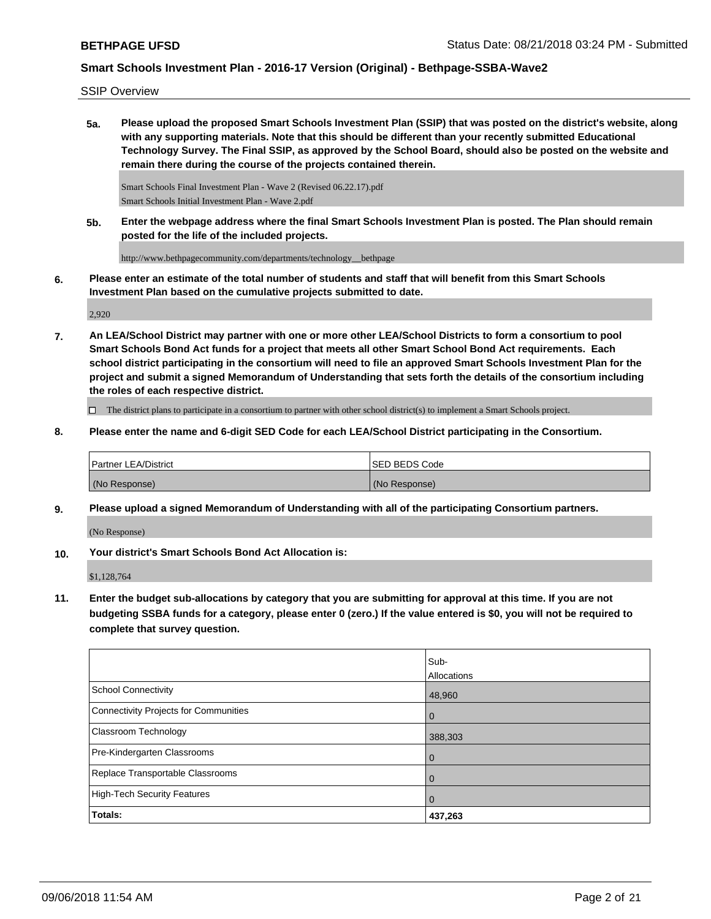SSIP Overview

**5a. Please upload the proposed Smart Schools Investment Plan (SSIP) that was posted on the district's website, along with any supporting materials. Note that this should be different than your recently submitted Educational Technology Survey. The Final SSIP, as approved by the School Board, should also be posted on the website and remain there during the course of the projects contained therein.**

Smart Schools Final Investment Plan - Wave 2 (Revised 06.22.17).pdf Smart Schools Initial Investment Plan - Wave 2.pdf

**5b. Enter the webpage address where the final Smart Schools Investment Plan is posted. The Plan should remain posted for the life of the included projects.**

http://www.bethpagecommunity.com/departments/technology\_\_bethpage

**6. Please enter an estimate of the total number of students and staff that will benefit from this Smart Schools Investment Plan based on the cumulative projects submitted to date.**

2,920

**7. An LEA/School District may partner with one or more other LEA/School Districts to form a consortium to pool Smart Schools Bond Act funds for a project that meets all other Smart School Bond Act requirements. Each school district participating in the consortium will need to file an approved Smart Schools Investment Plan for the project and submit a signed Memorandum of Understanding that sets forth the details of the consortium including the roles of each respective district.**

 $\Box$  The district plans to participate in a consortium to partner with other school district(s) to implement a Smart Schools project.

**8. Please enter the name and 6-digit SED Code for each LEA/School District participating in the Consortium.**

| <b>Partner LEA/District</b> | ISED BEDS Code |
|-----------------------------|----------------|
| (No Response)               | (No Response)  |

**9. Please upload a signed Memorandum of Understanding with all of the participating Consortium partners.**

(No Response)

**10. Your district's Smart Schools Bond Act Allocation is:**

\$1,128,764

**11. Enter the budget sub-allocations by category that you are submitting for approval at this time. If you are not budgeting SSBA funds for a category, please enter 0 (zero.) If the value entered is \$0, you will not be required to complete that survey question.**

|                                              | Sub-<br>Allocations |
|----------------------------------------------|---------------------|
| <b>School Connectivity</b>                   | 48,960              |
| <b>Connectivity Projects for Communities</b> | $\mathbf 0$         |
| <b>Classroom Technology</b>                  | 388,303             |
| Pre-Kindergarten Classrooms                  | $\overline{0}$      |
| Replace Transportable Classrooms             | 0                   |
| <b>High-Tech Security Features</b>           | $\mathbf 0$         |
| Totals:                                      | 437,263             |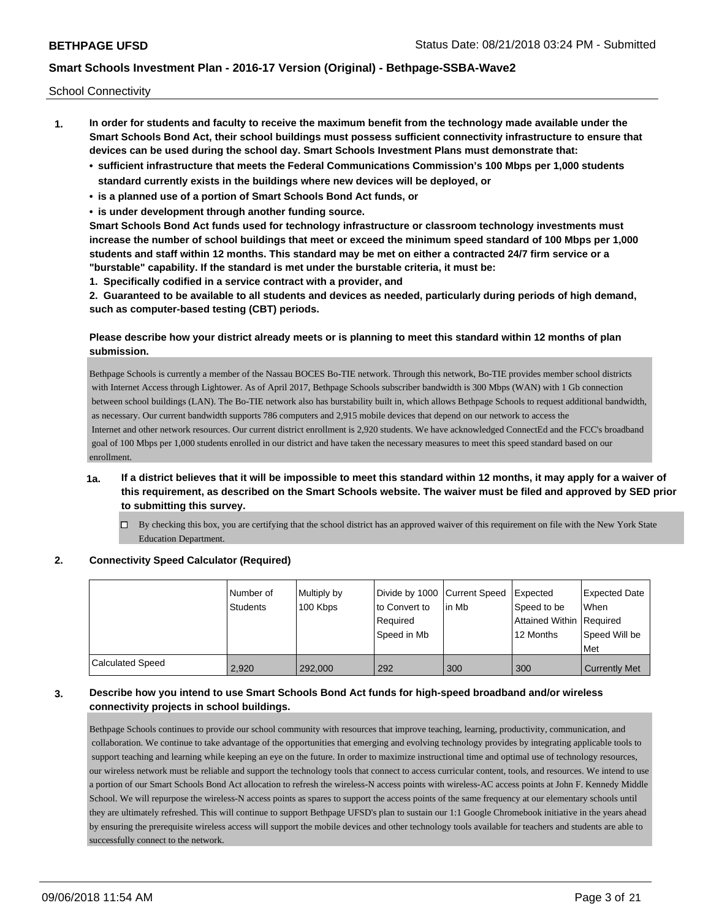School Connectivity

- **1. In order for students and faculty to receive the maximum benefit from the technology made available under the Smart Schools Bond Act, their school buildings must possess sufficient connectivity infrastructure to ensure that devices can be used during the school day. Smart Schools Investment Plans must demonstrate that:**
	- **• sufficient infrastructure that meets the Federal Communications Commission's 100 Mbps per 1,000 students standard currently exists in the buildings where new devices will be deployed, or**
	- **• is a planned use of a portion of Smart Schools Bond Act funds, or**
	- **• is under development through another funding source.**

**Smart Schools Bond Act funds used for technology infrastructure or classroom technology investments must increase the number of school buildings that meet or exceed the minimum speed standard of 100 Mbps per 1,000 students and staff within 12 months. This standard may be met on either a contracted 24/7 firm service or a "burstable" capability. If the standard is met under the burstable criteria, it must be:**

**1. Specifically codified in a service contract with a provider, and**

**2. Guaranteed to be available to all students and devices as needed, particularly during periods of high demand, such as computer-based testing (CBT) periods.**

## **Please describe how your district already meets or is planning to meet this standard within 12 months of plan submission.**

Bethpage Schools is currently a member of the Nassau BOCES Bo-TIE network. Through this network, Bo-TIE provides member school districts with Internet Access through Lightower. As of April 2017, Bethpage Schools subscriber bandwidth is 300 Mbps (WAN) with 1 Gb connection between school buildings (LAN). The Bo-TIE network also has burstability built in, which allows Bethpage Schools to request additional bandwidth, as necessary. Our current bandwidth supports 786 computers and 2,915 mobile devices that depend on our network to access the Internet and other network resources. Our current district enrollment is 2,920 students. We have acknowledged ConnectEd and the FCC's broadband goal of 100 Mbps per 1,000 students enrolled in our district and have taken the necessary measures to meet this speed standard based on our enrollment.

## **1a. If a district believes that it will be impossible to meet this standard within 12 months, it may apply for a waiver of this requirement, as described on the Smart Schools website. The waiver must be filed and approved by SED prior to submitting this survey.**

 $\Box$  By checking this box, you are certifying that the school district has an approved waiver of this requirement on file with the New York State Education Department.

## **2. Connectivity Speed Calculator (Required)**

|                         | l Number of<br>Students | Multiply by<br>100 Kbps | Divide by 1000 Current Speed<br>to Convert to<br>Required<br>Speed in Mb | lin Mb | Expected<br>Speed to be<br>Attained Within Required<br>12 Months | Expected Date<br><b>When</b><br>Speed Will be<br>Met |
|-------------------------|-------------------------|-------------------------|--------------------------------------------------------------------------|--------|------------------------------------------------------------------|------------------------------------------------------|
| <b>Calculated Speed</b> | 2.920                   | 292,000                 | 292                                                                      | 300    | 300                                                              | <b>Currently Met</b>                                 |

## **3. Describe how you intend to use Smart Schools Bond Act funds for high-speed broadband and/or wireless connectivity projects in school buildings.**

Bethpage Schools continues to provide our school community with resources that improve teaching, learning, productivity, communication, and collaboration. We continue to take advantage of the opportunities that emerging and evolving technology provides by integrating applicable tools to support teaching and learning while keeping an eye on the future. In order to maximize instructional time and optimal use of technology resources, our wireless network must be reliable and support the technology tools that connect to access curricular content, tools, and resources. We intend to use a portion of our Smart Schools Bond Act allocation to refresh the wireless-N access points with wireless-AC access points at John F. Kennedy Middle School. We will repurpose the wireless-N access points as spares to support the access points of the same frequency at our elementary schools until they are ultimately refreshed. This will continue to support Bethpage UFSD's plan to sustain our 1:1 Google Chromebook initiative in the years ahead by ensuring the prerequisite wireless access will support the mobile devices and other technology tools available for teachers and students are able to successfully connect to the network.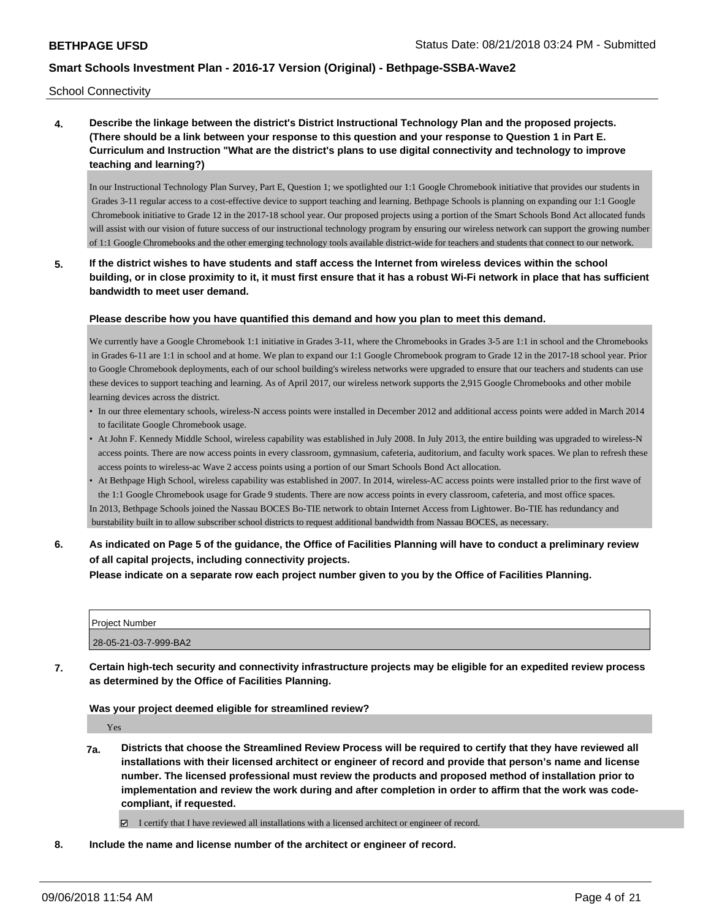School Connectivity

**4. Describe the linkage between the district's District Instructional Technology Plan and the proposed projects. (There should be a link between your response to this question and your response to Question 1 in Part E. Curriculum and Instruction "What are the district's plans to use digital connectivity and technology to improve teaching and learning?)**

In our Instructional Technology Plan Survey, Part E, Question 1; we spotlighted our 1:1 Google Chromebook initiative that provides our students in Grades 3-11 regular access to a cost-effective device to support teaching and learning. Bethpage Schools is planning on expanding our 1:1 Google Chromebook initiative to Grade 12 in the 2017-18 school year. Our proposed projects using a portion of the Smart Schools Bond Act allocated funds will assist with our vision of future success of our instructional technology program by ensuring our wireless network can support the growing number of 1:1 Google Chromebooks and the other emerging technology tools available district-wide for teachers and students that connect to our network.

**5. If the district wishes to have students and staff access the Internet from wireless devices within the school building, or in close proximity to it, it must first ensure that it has a robust Wi-Fi network in place that has sufficient bandwidth to meet user demand.**

### **Please describe how you have quantified this demand and how you plan to meet this demand.**

We currently have a Google Chromebook 1:1 initiative in Grades 3-11, where the Chromebooks in Grades 3-5 are 1:1 in school and the Chromebooks in Grades 6-11 are 1:1 in school and at home. We plan to expand our 1:1 Google Chromebook program to Grade 12 in the 2017-18 school year. Prior to Google Chromebook deployments, each of our school building's wireless networks were upgraded to ensure that our teachers and students can use these devices to support teaching and learning. As of April 2017, our wireless network supports the 2,915 Google Chromebooks and other mobile learning devices across the district.

- In our three elementary schools, wireless-N access points were installed in December 2012 and additional access points were added in March 2014 to facilitate Google Chromebook usage.
- At John F. Kennedy Middle School, wireless capability was established in July 2008. In July 2013, the entire building was upgraded to wireless-N access points. There are now access points in every classroom, gymnasium, cafeteria, auditorium, and faculty work spaces. We plan to refresh these access points to wireless-ac Wave 2 access points using a portion of our Smart Schools Bond Act allocation.
- At Bethpage High School, wireless capability was established in 2007. In 2014, wireless-AC access points were installed prior to the first wave of the 1:1 Google Chromebook usage for Grade 9 students. There are now access points in every classroom, cafeteria, and most office spaces. In 2013, Bethpage Schools joined the Nassau BOCES Bo-TIE network to obtain Internet Access from Lightower. Bo-TIE has redundancy and burstability built in to allow subscriber school districts to request additional bandwidth from Nassau BOCES, as necessary.
- **6. As indicated on Page 5 of the guidance, the Office of Facilities Planning will have to conduct a preliminary review of all capital projects, including connectivity projects.**

**Please indicate on a separate row each project number given to you by the Office of Facilities Planning.**

| <b>Project Number</b> |  |
|-----------------------|--|
| 28-05-21-03-7-999-BA2 |  |

**7. Certain high-tech security and connectivity infrastructure projects may be eligible for an expedited review process as determined by the Office of Facilities Planning.**

#### **Was your project deemed eligible for streamlined review?**

Yes

**7a. Districts that choose the Streamlined Review Process will be required to certify that they have reviewed all installations with their licensed architect or engineer of record and provide that person's name and license number. The licensed professional must review the products and proposed method of installation prior to implementation and review the work during and after completion in order to affirm that the work was codecompliant, if requested.**

I certify that I have reviewed all installations with a licensed architect or engineer of record.

**8. Include the name and license number of the architect or engineer of record.**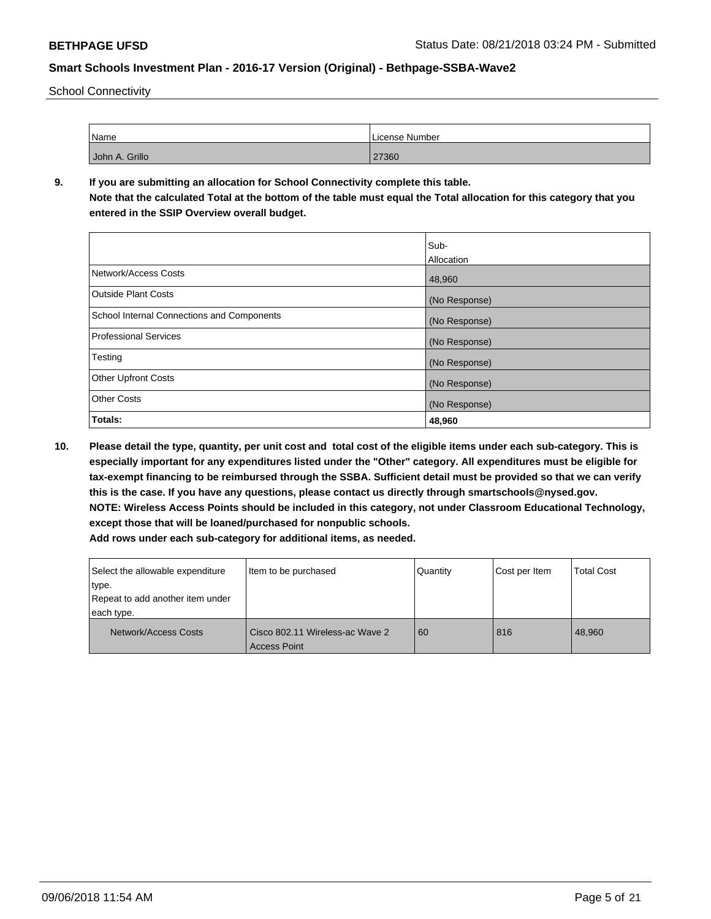School Connectivity

| Name           | License Number |
|----------------|----------------|
| John A. Grillo | 27360          |

## **9. If you are submitting an allocation for School Connectivity complete this table.**

**Note that the calculated Total at the bottom of the table must equal the Total allocation for this category that you entered in the SSIP Overview overall budget.** 

|                                            | Sub-              |
|--------------------------------------------|-------------------|
|                                            | <b>Allocation</b> |
| Network/Access Costs                       | 48,960            |
| <b>Outside Plant Costs</b>                 | (No Response)     |
| School Internal Connections and Components | (No Response)     |
| <b>Professional Services</b>               | (No Response)     |
| Testing                                    | (No Response)     |
| <b>Other Upfront Costs</b>                 | (No Response)     |
| <b>Other Costs</b>                         | (No Response)     |
| Totals:                                    | 48,960            |

**10. Please detail the type, quantity, per unit cost and total cost of the eligible items under each sub-category. This is especially important for any expenditures listed under the "Other" category. All expenditures must be eligible for tax-exempt financing to be reimbursed through the SSBA. Sufficient detail must be provided so that we can verify this is the case. If you have any questions, please contact us directly through smartschools@nysed.gov. NOTE: Wireless Access Points should be included in this category, not under Classroom Educational Technology, except those that will be loaned/purchased for nonpublic schools.**

| Select the allowable expenditure<br>type.<br>Repeat to add another item under | Item to be purchased                                   | Quantity | Cost per Item | <b>Total Cost</b> |
|-------------------------------------------------------------------------------|--------------------------------------------------------|----------|---------------|-------------------|
| each type.                                                                    |                                                        |          |               |                   |
| Network/Access Costs                                                          | Cisco 802.11 Wireless-ac Wave 2<br><b>Access Point</b> | 60       | 816           | 48.960            |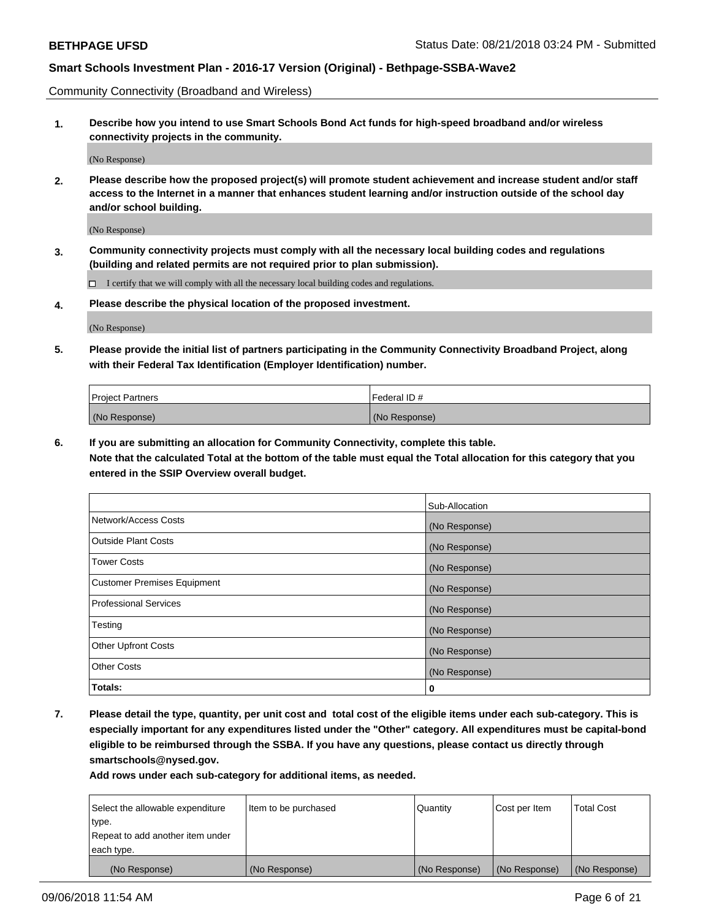Community Connectivity (Broadband and Wireless)

**1. Describe how you intend to use Smart Schools Bond Act funds for high-speed broadband and/or wireless connectivity projects in the community.**

(No Response)

**2. Please describe how the proposed project(s) will promote student achievement and increase student and/or staff access to the Internet in a manner that enhances student learning and/or instruction outside of the school day and/or school building.**

(No Response)

**3. Community connectivity projects must comply with all the necessary local building codes and regulations (building and related permits are not required prior to plan submission).**

 $\Box$  I certify that we will comply with all the necessary local building codes and regulations.

**4. Please describe the physical location of the proposed investment.**

(No Response)

**5. Please provide the initial list of partners participating in the Community Connectivity Broadband Project, along with their Federal Tax Identification (Employer Identification) number.**

| <b>Project Partners</b> | Federal ID#   |
|-------------------------|---------------|
| (No Response)           | (No Response) |

**6. If you are submitting an allocation for Community Connectivity, complete this table.**

**Note that the calculated Total at the bottom of the table must equal the Total allocation for this category that you entered in the SSIP Overview overall budget.**

|                                    | Sub-Allocation |
|------------------------------------|----------------|
| Network/Access Costs               | (No Response)  |
| Outside Plant Costs                | (No Response)  |
| <b>Tower Costs</b>                 | (No Response)  |
| <b>Customer Premises Equipment</b> | (No Response)  |
| Professional Services              | (No Response)  |
| Testing                            | (No Response)  |
| <b>Other Upfront Costs</b>         | (No Response)  |
| <b>Other Costs</b>                 | (No Response)  |
| Totals:                            | 0              |

**7. Please detail the type, quantity, per unit cost and total cost of the eligible items under each sub-category. This is especially important for any expenditures listed under the "Other" category. All expenditures must be capital-bond eligible to be reimbursed through the SSBA. If you have any questions, please contact us directly through smartschools@nysed.gov.**

| Select the allowable expenditure | Item to be purchased | Quantity      | Cost per Item | <b>Total Cost</b> |
|----------------------------------|----------------------|---------------|---------------|-------------------|
| type.                            |                      |               |               |                   |
| Repeat to add another item under |                      |               |               |                   |
| each type.                       |                      |               |               |                   |
| (No Response)                    | (No Response)        | (No Response) | (No Response) | (No Response)     |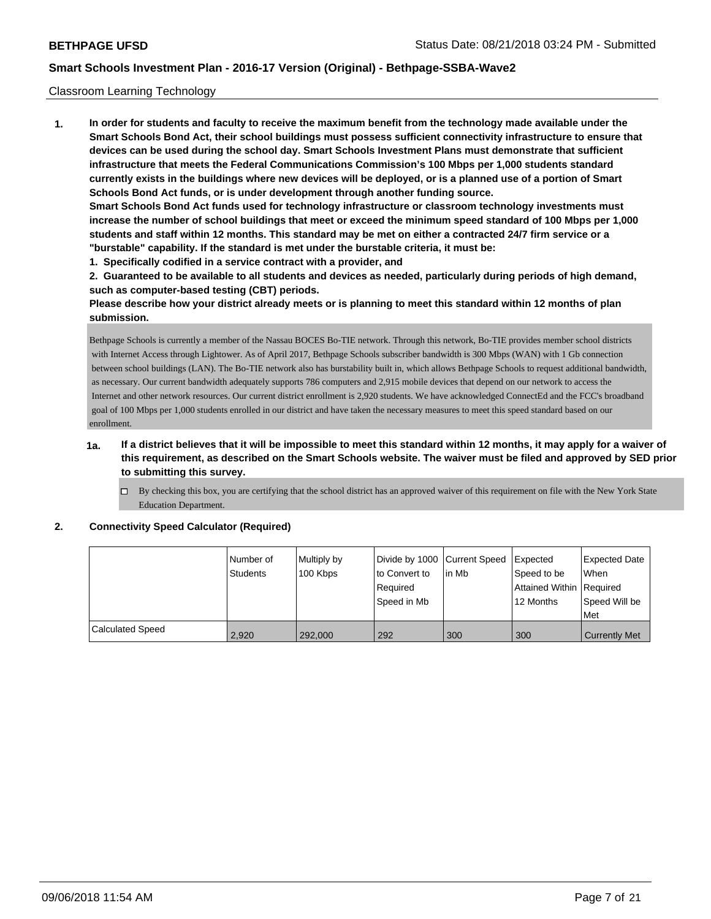## Classroom Learning Technology

**1. In order for students and faculty to receive the maximum benefit from the technology made available under the Smart Schools Bond Act, their school buildings must possess sufficient connectivity infrastructure to ensure that devices can be used during the school day. Smart Schools Investment Plans must demonstrate that sufficient infrastructure that meets the Federal Communications Commission's 100 Mbps per 1,000 students standard currently exists in the buildings where new devices will be deployed, or is a planned use of a portion of Smart Schools Bond Act funds, or is under development through another funding source. Smart Schools Bond Act funds used for technology infrastructure or classroom technology investments must increase the number of school buildings that meet or exceed the minimum speed standard of 100 Mbps per 1,000 students and staff within 12 months. This standard may be met on either a contracted 24/7 firm service or a "burstable" capability. If the standard is met under the burstable criteria, it must be:**

**1. Specifically codified in a service contract with a provider, and**

**2. Guaranteed to be available to all students and devices as needed, particularly during periods of high demand, such as computer-based testing (CBT) periods.**

**Please describe how your district already meets or is planning to meet this standard within 12 months of plan submission.**

Bethpage Schools is currently a member of the Nassau BOCES Bo-TIE network. Through this network, Bo-TIE provides member school districts with Internet Access through Lightower. As of April 2017, Bethpage Schools subscriber bandwidth is 300 Mbps (WAN) with 1 Gb connection between school buildings (LAN). The Bo-TIE network also has burstability built in, which allows Bethpage Schools to request additional bandwidth, as necessary. Our current bandwidth adequately supports 786 computers and 2,915 mobile devices that depend on our network to access the Internet and other network resources. Our current district enrollment is 2,920 students. We have acknowledged ConnectEd and the FCC's broadband goal of 100 Mbps per 1,000 students enrolled in our district and have taken the necessary measures to meet this speed standard based on our enrollment.

- **1a. If a district believes that it will be impossible to meet this standard within 12 months, it may apply for a waiver of this requirement, as described on the Smart Schools website. The waiver must be filed and approved by SED prior to submitting this survey.**
	- By checking this box, you are certifying that the school district has an approved waiver of this requirement on file with the New York State Education Department.

#### **2. Connectivity Speed Calculator (Required)**

|                  | l Number of<br><b>Students</b> | Multiply by<br>100 Kbps | Divide by 1000 Current Speed<br>to Convert to<br>Required<br>Speed in Mb | lin Mb | Expected<br>Speed to be<br>Attained Within Required<br>12 Months | <b>Expected Date</b><br>When<br>Speed Will be<br><b>Met</b> |
|------------------|--------------------------------|-------------------------|--------------------------------------------------------------------------|--------|------------------------------------------------------------------|-------------------------------------------------------------|
| Calculated Speed | 2,920                          | 292,000                 | 292                                                                      | 300    | 300                                                              | <b>Currently Met</b>                                        |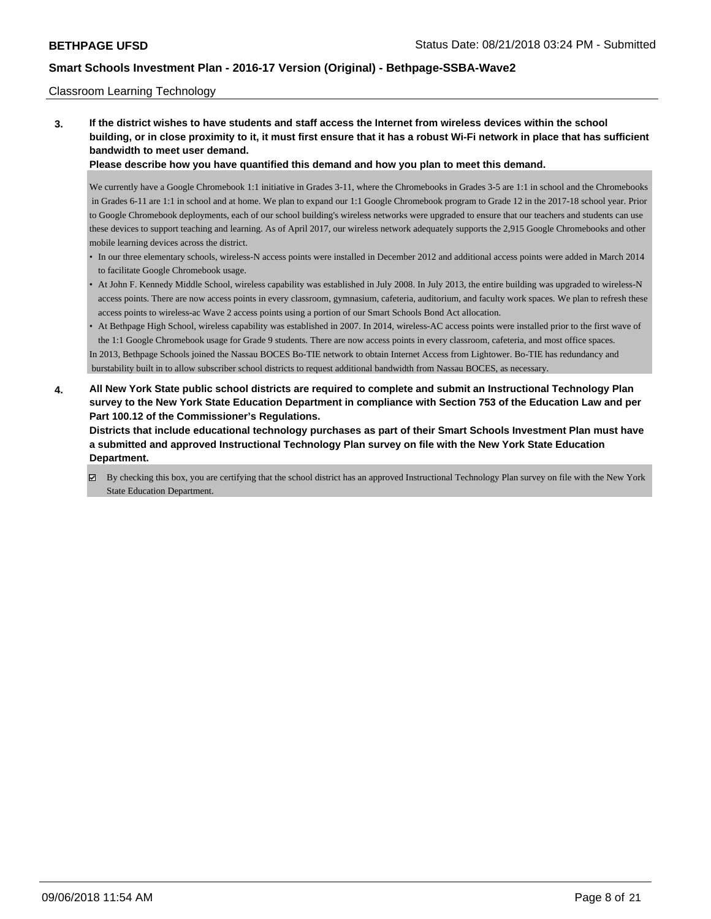### Classroom Learning Technology

**3. If the district wishes to have students and staff access the Internet from wireless devices within the school building, or in close proximity to it, it must first ensure that it has a robust Wi-Fi network in place that has sufficient bandwidth to meet user demand.**

**Please describe how you have quantified this demand and how you plan to meet this demand.**

We currently have a Google Chromebook 1:1 initiative in Grades 3-11, where the Chromebooks in Grades 3-5 are 1:1 in school and the Chromebooks in Grades 6-11 are 1:1 in school and at home. We plan to expand our 1:1 Google Chromebook program to Grade 12 in the 2017-18 school year. Prior to Google Chromebook deployments, each of our school building's wireless networks were upgraded to ensure that our teachers and students can use these devices to support teaching and learning. As of April 2017, our wireless network adequately supports the 2,915 Google Chromebooks and other mobile learning devices across the district.

- In our three elementary schools, wireless-N access points were installed in December 2012 and additional access points were added in March 2014 to facilitate Google Chromebook usage.
- At John F. Kennedy Middle School, wireless capability was established in July 2008. In July 2013, the entire building was upgraded to wireless-N access points. There are now access points in every classroom, gymnasium, cafeteria, auditorium, and faculty work spaces. We plan to refresh these access points to wireless-ac Wave 2 access points using a portion of our Smart Schools Bond Act allocation.
- At Bethpage High School, wireless capability was established in 2007. In 2014, wireless-AC access points were installed prior to the first wave of the 1:1 Google Chromebook usage for Grade 9 students. There are now access points in every classroom, cafeteria, and most office spaces. In 2013, Bethpage Schools joined the Nassau BOCES Bo-TIE network to obtain Internet Access from Lightower. Bo-TIE has redundancy and burstability built in to allow subscriber school districts to request additional bandwidth from Nassau BOCES, as necessary.
- **4. All New York State public school districts are required to complete and submit an Instructional Technology Plan survey to the New York State Education Department in compliance with Section 753 of the Education Law and per Part 100.12 of the Commissioner's Regulations.**

**Districts that include educational technology purchases as part of their Smart Schools Investment Plan must have a submitted and approved Instructional Technology Plan survey on file with the New York State Education Department.**

By checking this box, you are certifying that the school district has an approved Instructional Technology Plan survey on file with the New York State Education Department.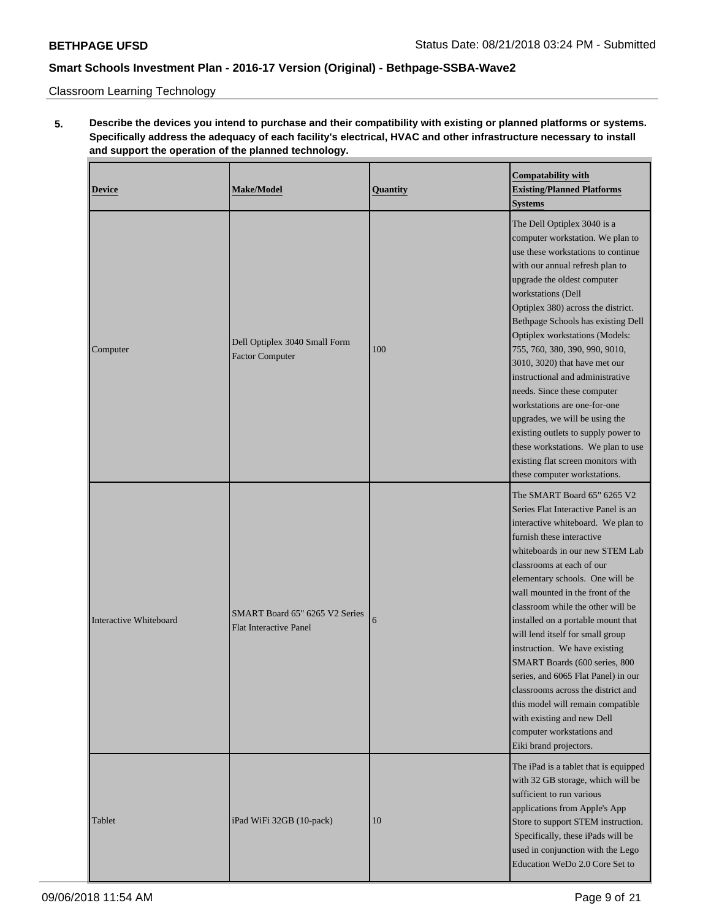Classroom Learning Technology

# **5. Describe the devices you intend to purchase and their compatibility with existing or planned platforms or systems. Specifically address the adequacy of each facility's electrical, HVAC and other infrastructure necessary to install and support the operation of the planned technology.**

| <b>Device</b>                      | <b>Make/Model</b>                                               | Quantity | <b>Compatability with</b><br><b>Existing/Planned Platforms</b><br><b>Systems</b>                                                                                                                                                                                                                                                                                                                                                                                                                                                                                                                                                                                       |  |
|------------------------------------|-----------------------------------------------------------------|----------|------------------------------------------------------------------------------------------------------------------------------------------------------------------------------------------------------------------------------------------------------------------------------------------------------------------------------------------------------------------------------------------------------------------------------------------------------------------------------------------------------------------------------------------------------------------------------------------------------------------------------------------------------------------------|--|
| Computer                           | Dell Optiplex 3040 Small Form<br><b>Factor Computer</b>         | 100      | The Dell Optiplex 3040 is a<br>computer workstation. We plan to<br>use these workstations to continue<br>with our annual refresh plan to<br>upgrade the oldest computer<br>workstations (Dell<br>Optiplex 380) across the district.<br>Bethpage Schools has existing Dell<br>Optiplex workstations (Models:<br>755, 760, 380, 390, 990, 9010,<br>3010, 3020) that have met our<br>instructional and administrative<br>needs. Since these computer<br>workstations are one-for-one<br>upgrades, we will be using the<br>existing outlets to supply power to<br>these workstations. We plan to use<br>existing flat screen monitors with<br>these computer workstations. |  |
| Interactive Whiteboard             | SMART Board 65" 6265 V2 Series<br><b>Flat Interactive Panel</b> | 6        | The SMART Board 65" 6265 V2<br>Series Flat Interactive Panel is an<br>interactive whiteboard. We plan to<br>furnish these interactive<br>whiteboards in our new STEM Lab<br>classrooms at each of our<br>elementary schools. One will be<br>wall mounted in the front of the<br>classroom while the other will be<br>installed on a portable mount that<br>will lend itself for small group<br>instruction. We have existing<br>SMART Boards (600 series, 800<br>series, and 6065 Flat Panel) in our<br>classrooms across the district and<br>this model will remain compatible<br>with existing and new Dell<br>computer workstations and<br>Eiki brand projectors.   |  |
| Tablet<br>iPad WiFi 32GB (10-pack) |                                                                 | 10       | The iPad is a tablet that is equipped<br>with 32 GB storage, which will be<br>sufficient to run various<br>applications from Apple's App<br>Store to support STEM instruction.<br>Specifically, these iPads will be<br>used in conjunction with the Lego<br>Education WeDo 2.0 Core Set to                                                                                                                                                                                                                                                                                                                                                                             |  |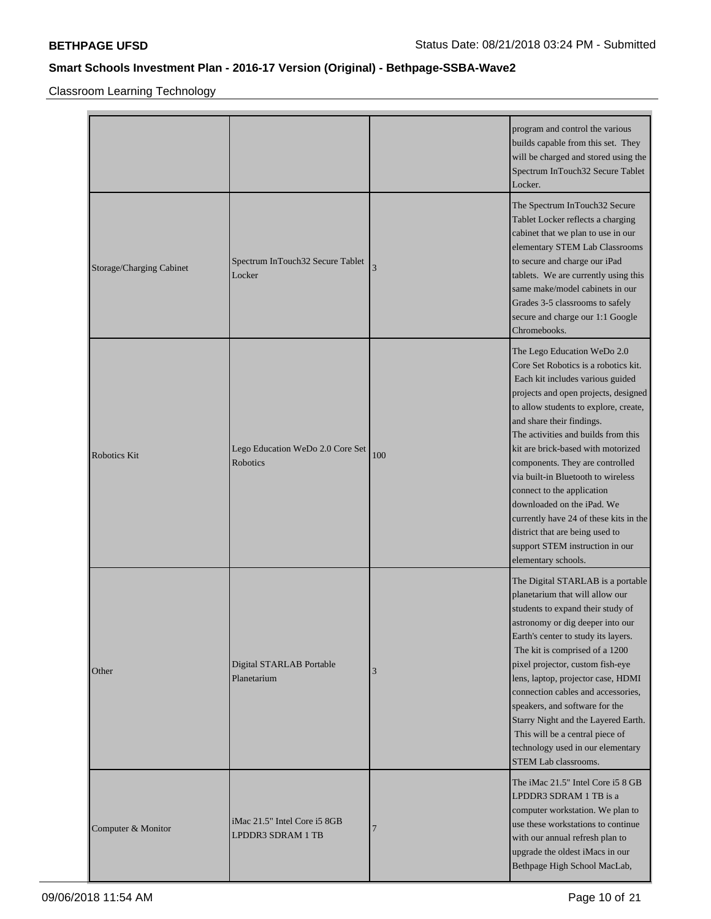Classroom Learning Technology

|                          |                                                   |     | program and control the various<br>builds capable from this set. They<br>will be charged and stored using the<br>Spectrum InTouch32 Secure Tablet<br>Locker.                                                                                                                                                                                                                                                                                                                                                                                                                   |
|--------------------------|---------------------------------------------------|-----|--------------------------------------------------------------------------------------------------------------------------------------------------------------------------------------------------------------------------------------------------------------------------------------------------------------------------------------------------------------------------------------------------------------------------------------------------------------------------------------------------------------------------------------------------------------------------------|
| Storage/Charging Cabinet | Spectrum InTouch32 Secure Tablet<br>Locker        | 3   | The Spectrum InTouch32 Secure<br>Tablet Locker reflects a charging<br>cabinet that we plan to use in our<br>elementary STEM Lab Classrooms<br>to secure and charge our iPad<br>tablets. We are currently using this<br>same make/model cabinets in our<br>Grades 3-5 classrooms to safely<br>secure and charge our 1:1 Google<br>Chromebooks.                                                                                                                                                                                                                                  |
| Robotics Kit             | Lego Education WeDo 2.0 Core Set<br>Robotics      | 100 | The Lego Education WeDo 2.0<br>Core Set Robotics is a robotics kit.<br>Each kit includes various guided<br>projects and open projects, designed<br>to allow students to explore, create,<br>and share their findings.<br>The activities and builds from this<br>kit are brick-based with motorized<br>components. They are controlled<br>via built-in Bluetooth to wireless<br>connect to the application<br>downloaded on the iPad. We<br>currently have 24 of these kits in the<br>district that are being used to<br>support STEM instruction in our<br>elementary schools. |
| Other                    | Digital STARLAB Portable<br>Planetarium           | 3   | The Digital STARLAB is a portable<br>planetarium that will allow our<br>students to expand their study of<br>astronomy or dig deeper into our<br>Earth's center to study its layers.<br>The kit is comprised of a 1200<br>pixel projector, custom fish-eye<br>lens, laptop, projector case, HDMI<br>connection cables and accessories,<br>speakers, and software for the<br>Starry Night and the Layered Earth.<br>This will be a central piece of<br>technology used in our elementary<br><b>STEM Lab classrooms.</b>                                                         |
| Computer & Monitor       | iMac 21.5" Intel Core i5 8GB<br>LPDDR3 SDRAM 1 TB |     | The iMac 21.5" Intel Core i5 8 GB<br>LPDDR3 SDRAM 1 TB is a<br>computer workstation. We plan to<br>use these workstations to continue<br>with our annual refresh plan to<br>upgrade the oldest iMacs in our<br>Bethpage High School MacLab,                                                                                                                                                                                                                                                                                                                                    |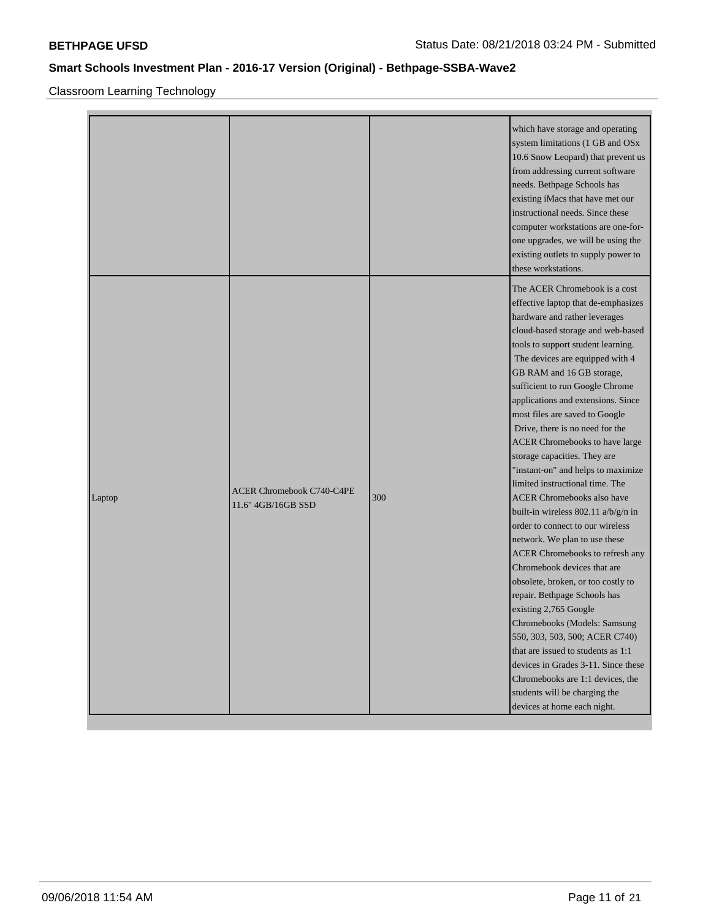Classroom Learning Technology

|        |                                                        |     | which have storage and operating<br>system limitations (1 GB and OSx<br>10.6 Snow Leopard) that prevent us<br>from addressing current software<br>needs. Bethpage Schools has<br>existing iMacs that have met our<br>instructional needs. Since these<br>computer workstations are one-for-<br>one upgrades, we will be using the<br>existing outlets to supply power to<br>these workstations.                                                                                                                                                                                                                                                                                                                                                                                                                                                                                                                                                                                                                                                                                                                |
|--------|--------------------------------------------------------|-----|----------------------------------------------------------------------------------------------------------------------------------------------------------------------------------------------------------------------------------------------------------------------------------------------------------------------------------------------------------------------------------------------------------------------------------------------------------------------------------------------------------------------------------------------------------------------------------------------------------------------------------------------------------------------------------------------------------------------------------------------------------------------------------------------------------------------------------------------------------------------------------------------------------------------------------------------------------------------------------------------------------------------------------------------------------------------------------------------------------------|
| Laptop | <b>ACER Chromebook C740-C4PE</b><br>11.6" 4GB/16GB SSD | 300 | The ACER Chromebook is a cost<br>effective laptop that de-emphasizes<br>hardware and rather leverages<br>cloud-based storage and web-based<br>tools to support student learning.<br>The devices are equipped with 4<br>GB RAM and 16 GB storage,<br>sufficient to run Google Chrome<br>applications and extensions. Since<br>most files are saved to Google<br>Drive, there is no need for the<br>ACER Chromebooks to have large<br>storage capacities. They are<br>"instant-on" and helps to maximize<br>limited instructional time. The<br><b>ACER Chromebooks also have</b><br>built-in wireless 802.11 a/b/g/n in<br>order to connect to our wireless<br>network. We plan to use these<br>ACER Chromebooks to refresh any<br>Chromebook devices that are<br>obsolete, broken, or too costly to<br>repair. Bethpage Schools has<br>existing 2,765 Google<br>Chromebooks (Models: Samsung<br>550, 303, 503, 500; ACER C740)<br>that are issued to students as 1:1<br>devices in Grades 3-11. Since these<br>Chromebooks are 1:1 devices, the<br>students will be charging the<br>devices at home each night. |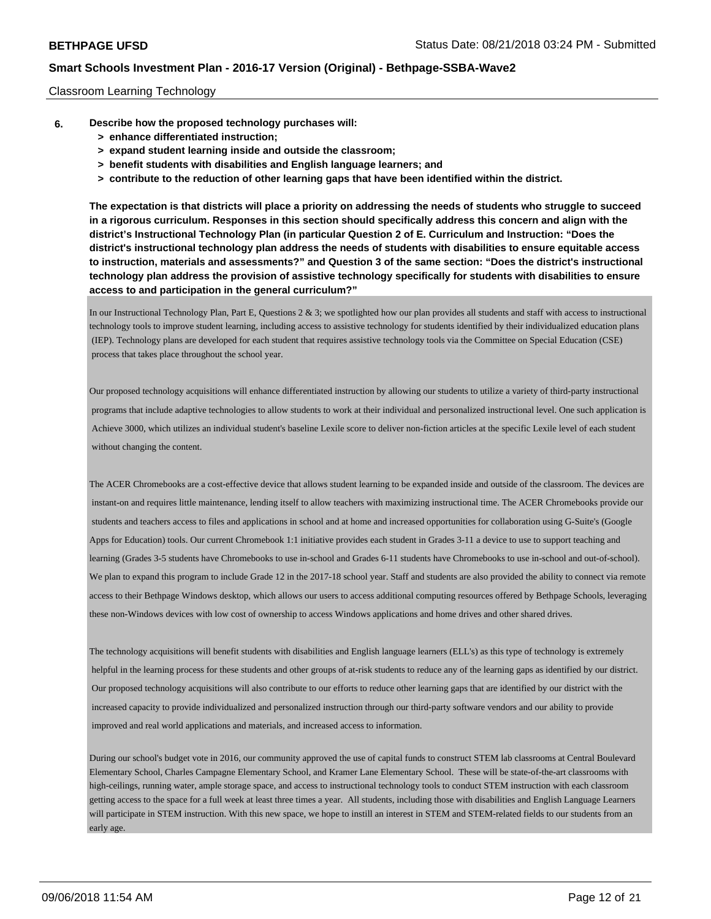### Classroom Learning Technology

- **6. Describe how the proposed technology purchases will:**
	- **> enhance differentiated instruction;**
	- **> expand student learning inside and outside the classroom;**
	- **> benefit students with disabilities and English language learners; and**
	- **> contribute to the reduction of other learning gaps that have been identified within the district.**

**The expectation is that districts will place a priority on addressing the needs of students who struggle to succeed in a rigorous curriculum. Responses in this section should specifically address this concern and align with the district's Instructional Technology Plan (in particular Question 2 of E. Curriculum and Instruction: "Does the district's instructional technology plan address the needs of students with disabilities to ensure equitable access to instruction, materials and assessments?" and Question 3 of the same section: "Does the district's instructional technology plan address the provision of assistive technology specifically for students with disabilities to ensure access to and participation in the general curriculum?"**

In our Instructional Technology Plan, Part E, Questions 2 & 3; we spotlighted how our plan provides all students and staff with access to instructional technology tools to improve student learning, including access to assistive technology for students identified by their individualized education plans (IEP). Technology plans are developed for each student that requires assistive technology tools via the Committee on Special Education (CSE) process that takes place throughout the school year.

Our proposed technology acquisitions will enhance differentiated instruction by allowing our students to utilize a variety of third-party instructional programs that include adaptive technologies to allow students to work at their individual and personalized instructional level. One such application is Achieve 3000, which utilizes an individual student's baseline Lexile score to deliver non-fiction articles at the specific Lexile level of each student without changing the content.

The ACER Chromebooks are a cost-effective device that allows student learning to be expanded inside and outside of the classroom. The devices are instant-on and requires little maintenance, lending itself to allow teachers with maximizing instructional time. The ACER Chromebooks provide our students and teachers access to files and applications in school and at home and increased opportunities for collaboration using G-Suite's (Google Apps for Education) tools. Our current Chromebook 1:1 initiative provides each student in Grades 3-11 a device to use to support teaching and learning (Grades 3-5 students have Chromebooks to use in-school and Grades 6-11 students have Chromebooks to use in-school and out-of-school). We plan to expand this program to include Grade 12 in the 2017-18 school year. Staff and students are also provided the ability to connect via remote access to their Bethpage Windows desktop, which allows our users to access additional computing resources offered by Bethpage Schools, leveraging these non-Windows devices with low cost of ownership to access Windows applications and home drives and other shared drives.

The technology acquisitions will benefit students with disabilities and English language learners (ELL's) as this type of technology is extremely helpful in the learning process for these students and other groups of at-risk students to reduce any of the learning gaps as identified by our district. Our proposed technology acquisitions will also contribute to our efforts to reduce other learning gaps that are identified by our district with the increased capacity to provide individualized and personalized instruction through our third-party software vendors and our ability to provide improved and real world applications and materials, and increased access to information.

During our school's budget vote in 2016, our community approved the use of capital funds to construct STEM lab classrooms at Central Boulevard Elementary School, Charles Campagne Elementary School, and Kramer Lane Elementary School. These will be state-of-the-art classrooms with high-ceilings, running water, ample storage space, and access to instructional technology tools to conduct STEM instruction with each classroom getting access to the space for a full week at least three times a year. All students, including those with disabilities and English Language Learners will participate in STEM instruction. With this new space, we hope to instill an interest in STEM and STEM-related fields to our students from an early age.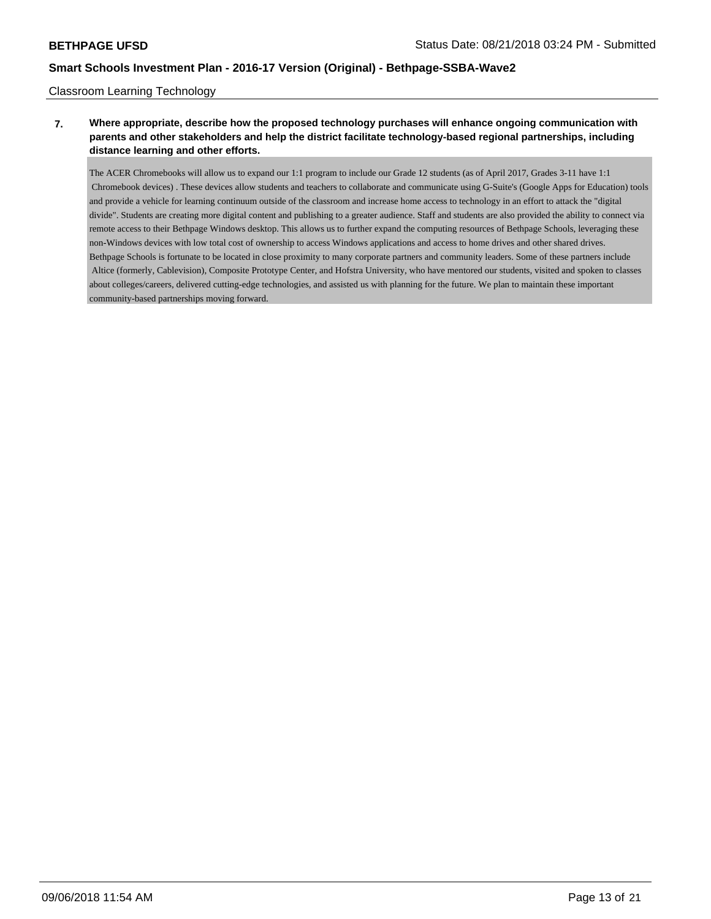## Classroom Learning Technology

## **7. Where appropriate, describe how the proposed technology purchases will enhance ongoing communication with parents and other stakeholders and help the district facilitate technology-based regional partnerships, including distance learning and other efforts.**

The ACER Chromebooks will allow us to expand our 1:1 program to include our Grade 12 students (as of April 2017, Grades 3-11 have 1:1 Chromebook devices) . These devices allow students and teachers to collaborate and communicate using G-Suite's (Google Apps for Education) tools and provide a vehicle for learning continuum outside of the classroom and increase home access to technology in an effort to attack the "digital divide". Students are creating more digital content and publishing to a greater audience. Staff and students are also provided the ability to connect via remote access to their Bethpage Windows desktop. This allows us to further expand the computing resources of Bethpage Schools, leveraging these non-Windows devices with low total cost of ownership to access Windows applications and access to home drives and other shared drives. Bethpage Schools is fortunate to be located in close proximity to many corporate partners and community leaders. Some of these partners include Altice (formerly, Cablevision), Composite Prototype Center, and Hofstra University, who have mentored our students, visited and spoken to classes about colleges/careers, delivered cutting-edge technologies, and assisted us with planning for the future. We plan to maintain these important community-based partnerships moving forward.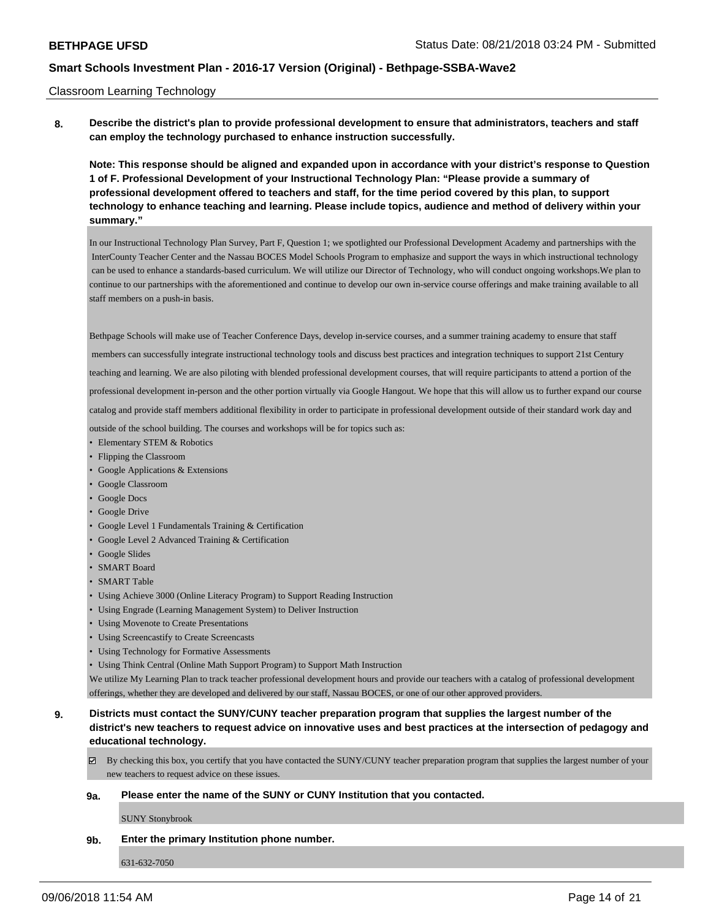### Classroom Learning Technology

**8. Describe the district's plan to provide professional development to ensure that administrators, teachers and staff can employ the technology purchased to enhance instruction successfully.**

**Note: This response should be aligned and expanded upon in accordance with your district's response to Question 1 of F. Professional Development of your Instructional Technology Plan: "Please provide a summary of professional development offered to teachers and staff, for the time period covered by this plan, to support technology to enhance teaching and learning. Please include topics, audience and method of delivery within your summary."**

In our Instructional Technology Plan Survey, Part F, Question 1; we spotlighted our Professional Development Academy and partnerships with the InterCounty Teacher Center and the Nassau BOCES Model Schools Program to emphasize and support the ways in which instructional technology can be used to enhance a standards-based curriculum. We will utilize our Director of Technology, who will conduct ongoing workshops.We plan to continue to our partnerships with the aforementioned and continue to develop our own in-service course offerings and make training available to all staff members on a push-in basis.

Bethpage Schools will make use of Teacher Conference Days, develop in-service courses, and a summer training academy to ensure that staff

 members can successfully integrate instructional technology tools and discuss best practices and integration techniques to support 21st Century teaching and learning. We are also piloting with blended professional development courses, that will require participants to attend a portion of the

professional development in-person and the other portion virtually via Google Hangout. We hope that this will allow us to further expand our course

catalog and provide staff members additional flexibility in order to participate in professional development outside of their standard work day and

outside of the school building. The courses and workshops will be for topics such as:

- Elementary STEM & Robotics
- Flipping the Classroom
- Google Applications & Extensions
- Google Classroom
- Google Docs
- Google Drive
- Google Level 1 Fundamentals Training & Certification
- Google Level 2 Advanced Training & Certification
- Google Slides
- SMART Board
- SMART Table
- Using Achieve 3000 (Online Literacy Program) to Support Reading Instruction
- Using Engrade (Learning Management System) to Deliver Instruction
- Using Movenote to Create Presentations
- Using Screencastify to Create Screencasts
- Using Technology for Formative Assessments
- Using Think Central (Online Math Support Program) to Support Math Instruction

We utilize My Learning Plan to track teacher professional development hours and provide our teachers with a catalog of professional development offerings, whether they are developed and delivered by our staff, Nassau BOCES, or one of our other approved providers.

- **9. Districts must contact the SUNY/CUNY teacher preparation program that supplies the largest number of the district's new teachers to request advice on innovative uses and best practices at the intersection of pedagogy and educational technology.**
	- $\boxtimes$  By checking this box, you certify that you have contacted the SUNY/CUNY teacher preparation program that supplies the largest number of your new teachers to request advice on these issues.

#### **9a. Please enter the name of the SUNY or CUNY Institution that you contacted.**

SUNY Stonybrook

#### **9b. Enter the primary Institution phone number.**

631-632-7050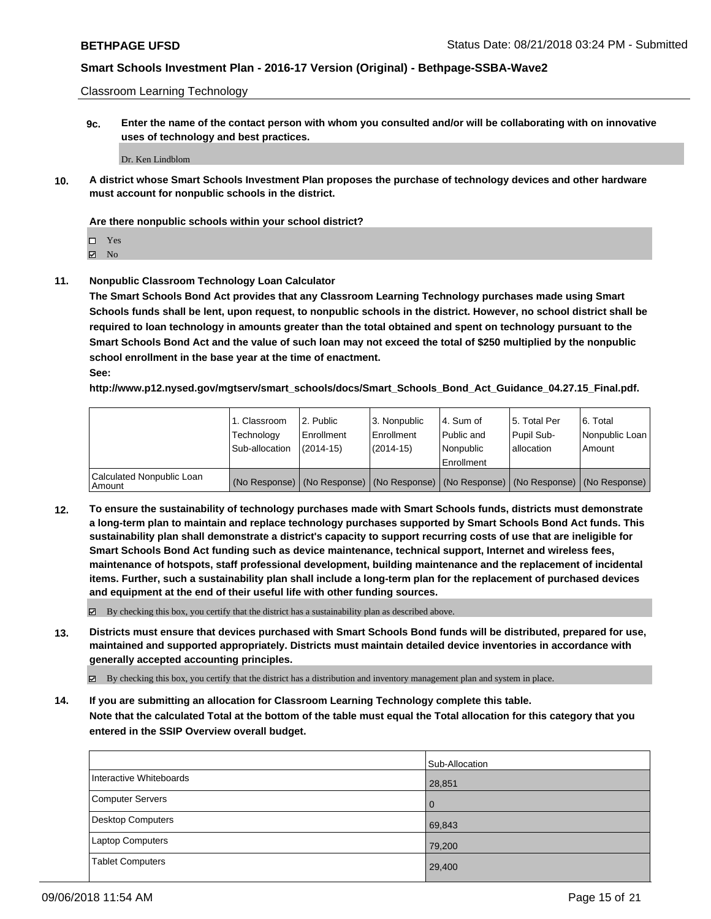Classroom Learning Technology

**9c. Enter the name of the contact person with whom you consulted and/or will be collaborating with on innovative uses of technology and best practices.**

Dr. Ken Lindblom

**10. A district whose Smart Schools Investment Plan proposes the purchase of technology devices and other hardware must account for nonpublic schools in the district.**

### **Are there nonpublic schools within your school district?**

Yes

 $\boxtimes$  No

**11. Nonpublic Classroom Technology Loan Calculator**

**The Smart Schools Bond Act provides that any Classroom Learning Technology purchases made using Smart Schools funds shall be lent, upon request, to nonpublic schools in the district. However, no school district shall be required to loan technology in amounts greater than the total obtained and spent on technology pursuant to the Smart Schools Bond Act and the value of such loan may not exceed the total of \$250 multiplied by the nonpublic school enrollment in the base year at the time of enactment.**

**See:**

**http://www.p12.nysed.gov/mgtserv/smart\_schools/docs/Smart\_Schools\_Bond\_Act\_Guidance\_04.27.15\_Final.pdf.**

|                                       | 1. Classroom<br>Technology<br>Sub-allocation | 2. Public<br>Enrollment<br>(2014-15) | 3. Nonpublic<br>Enrollment<br>(2014-15) | 14. Sum of<br>Public and<br>l Nonpublic<br>Enrollment | l 5. Total Per<br>Pupil Sub-<br>allocation | 6. Total<br>Nonpublic Loan  <br>Amount                                                        |
|---------------------------------------|----------------------------------------------|--------------------------------------|-----------------------------------------|-------------------------------------------------------|--------------------------------------------|-----------------------------------------------------------------------------------------------|
| Calculated Nonpublic Loan<br>l Amount |                                              |                                      |                                         |                                                       |                                            | (No Response)   (No Response)   (No Response)   (No Response)   (No Response)   (No Response) |

**12. To ensure the sustainability of technology purchases made with Smart Schools funds, districts must demonstrate a long-term plan to maintain and replace technology purchases supported by Smart Schools Bond Act funds. This sustainability plan shall demonstrate a district's capacity to support recurring costs of use that are ineligible for Smart Schools Bond Act funding such as device maintenance, technical support, Internet and wireless fees, maintenance of hotspots, staff professional development, building maintenance and the replacement of incidental items. Further, such a sustainability plan shall include a long-term plan for the replacement of purchased devices and equipment at the end of their useful life with other funding sources.**

By checking this box, you certify that the district has a sustainability plan as described above.

**13. Districts must ensure that devices purchased with Smart Schools Bond funds will be distributed, prepared for use, maintained and supported appropriately. Districts must maintain detailed device inventories in accordance with generally accepted accounting principles.**

By checking this box, you certify that the district has a distribution and inventory management plan and system in place.

**14. If you are submitting an allocation for Classroom Learning Technology complete this table. Note that the calculated Total at the bottom of the table must equal the Total allocation for this category that you**

**entered in the SSIP Overview overall budget.**

|                          | Sub-Allocation |
|--------------------------|----------------|
| Interactive Whiteboards  | 28,851         |
| Computer Servers         | $\overline{0}$ |
| <b>Desktop Computers</b> | 69,843         |
| <b>Laptop Computers</b>  | 79,200         |
| <b>Tablet Computers</b>  | 29,400         |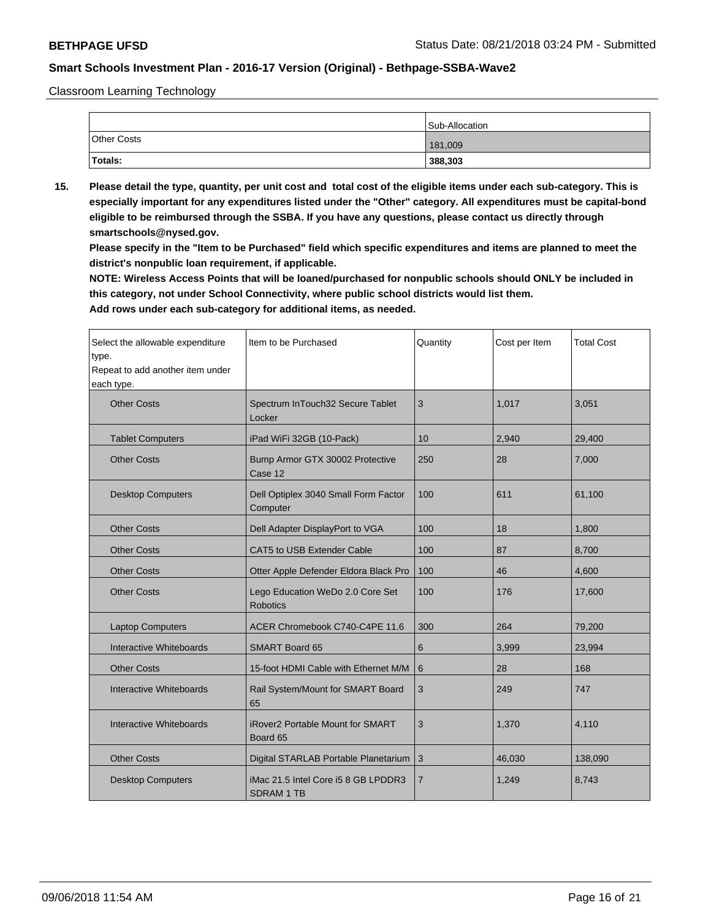Classroom Learning Technology

|                    | Sub-Allocation |
|--------------------|----------------|
| <b>Other Costs</b> | 181,009        |
| Totals:            | 388,303        |

**15. Please detail the type, quantity, per unit cost and total cost of the eligible items under each sub-category. This is especially important for any expenditures listed under the "Other" category. All expenditures must be capital-bond eligible to be reimbursed through the SSBA. If you have any questions, please contact us directly through smartschools@nysed.gov.**

**Please specify in the "Item to be Purchased" field which specific expenditures and items are planned to meet the district's nonpublic loan requirement, if applicable.**

**NOTE: Wireless Access Points that will be loaned/purchased for nonpublic schools should ONLY be included in this category, not under School Connectivity, where public school districts would list them.**

| Select the allowable expenditure<br>type.<br>Repeat to add another item under<br>each type. | Item to be Purchased                                     | Quantity | Cost per Item | <b>Total Cost</b> |
|---------------------------------------------------------------------------------------------|----------------------------------------------------------|----------|---------------|-------------------|
| <b>Other Costs</b>                                                                          | Spectrum InTouch32 Secure Tablet<br>Locker               | 3        | 1,017         | 3,051             |
| <b>Tablet Computers</b>                                                                     | iPad WiFi 32GB (10-Pack)                                 | 10       | 2,940         | 29,400            |
| <b>Other Costs</b>                                                                          | Bump Armor GTX 30002 Protective<br>Case 12               | 250      | 28            | 7,000             |
| <b>Desktop Computers</b>                                                                    | Dell Optiplex 3040 Small Form Factor<br>Computer         | 100      | 611           | 61,100            |
| <b>Other Costs</b>                                                                          | Dell Adapter DisplayPort to VGA                          | 100      | 18            | 1,800             |
| <b>Other Costs</b>                                                                          | CAT5 to USB Extender Cable                               | 100      | 87            | 8,700             |
| <b>Other Costs</b>                                                                          | Otter Apple Defender Eldora Black Pro                    | 100      | 46            | 4,600             |
| <b>Other Costs</b>                                                                          | Lego Education WeDo 2.0 Core Set<br><b>Robotics</b>      | 100      | 176           | 17,600            |
| <b>Laptop Computers</b>                                                                     | ACER Chromebook C740-C4PE 11.6                           | 300      | 264           | 79,200            |
| Interactive Whiteboards                                                                     | <b>SMART Board 65</b>                                    | 6        | 3,999         | 23,994            |
| <b>Other Costs</b>                                                                          | 15-foot HDMI Cable with Ethernet M/M                     | 6        | 28            | 168               |
| Interactive Whiteboards                                                                     | Rail System/Mount for SMART Board<br>65                  | 3        | 249           | 747               |
| Interactive Whiteboards                                                                     | <b>iRover2 Portable Mount for SMART</b><br>Board 65      | 3        | 1,370         | 4,110             |
| <b>Other Costs</b>                                                                          | Digital STARLAB Portable Planetarium                     | 3        | 46,030        | 138,090           |
| <b>Desktop Computers</b>                                                                    | iMac 21.5 Intel Core i5 8 GB LPDDR3<br><b>SDRAM 1 TB</b> | 7        | 1,249         | 8,743             |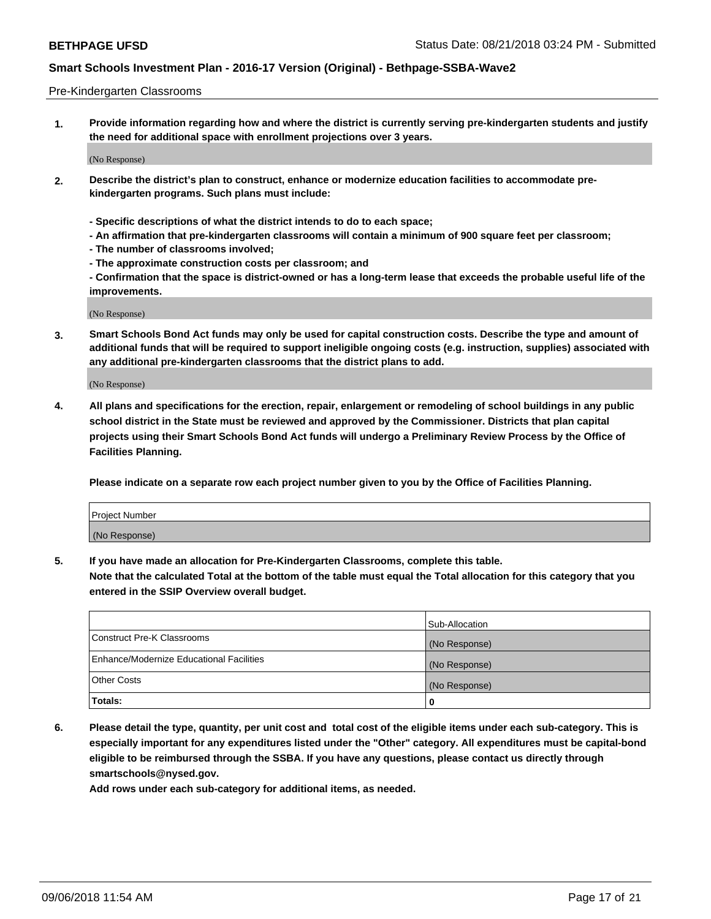### Pre-Kindergarten Classrooms

**1. Provide information regarding how and where the district is currently serving pre-kindergarten students and justify the need for additional space with enrollment projections over 3 years.**

(No Response)

- **2. Describe the district's plan to construct, enhance or modernize education facilities to accommodate prekindergarten programs. Such plans must include:**
	- **Specific descriptions of what the district intends to do to each space;**
	- **An affirmation that pre-kindergarten classrooms will contain a minimum of 900 square feet per classroom;**
	- **The number of classrooms involved;**
	- **The approximate construction costs per classroom; and**
	- **Confirmation that the space is district-owned or has a long-term lease that exceeds the probable useful life of the improvements.**

(No Response)

**3. Smart Schools Bond Act funds may only be used for capital construction costs. Describe the type and amount of additional funds that will be required to support ineligible ongoing costs (e.g. instruction, supplies) associated with any additional pre-kindergarten classrooms that the district plans to add.**

(No Response)

**4. All plans and specifications for the erection, repair, enlargement or remodeling of school buildings in any public school district in the State must be reviewed and approved by the Commissioner. Districts that plan capital projects using their Smart Schools Bond Act funds will undergo a Preliminary Review Process by the Office of Facilities Planning.**

**Please indicate on a separate row each project number given to you by the Office of Facilities Planning.**

| Project Number |  |
|----------------|--|
| (No Response)  |  |
|                |  |

**5. If you have made an allocation for Pre-Kindergarten Classrooms, complete this table.**

**Note that the calculated Total at the bottom of the table must equal the Total allocation for this category that you entered in the SSIP Overview overall budget.**

|                                          | Sub-Allocation |
|------------------------------------------|----------------|
| Construct Pre-K Classrooms               | (No Response)  |
| Enhance/Modernize Educational Facilities | (No Response)  |
| <b>Other Costs</b>                       | (No Response)  |
| Totals:                                  | 0              |

**6. Please detail the type, quantity, per unit cost and total cost of the eligible items under each sub-category. This is especially important for any expenditures listed under the "Other" category. All expenditures must be capital-bond eligible to be reimbursed through the SSBA. If you have any questions, please contact us directly through smartschools@nysed.gov.**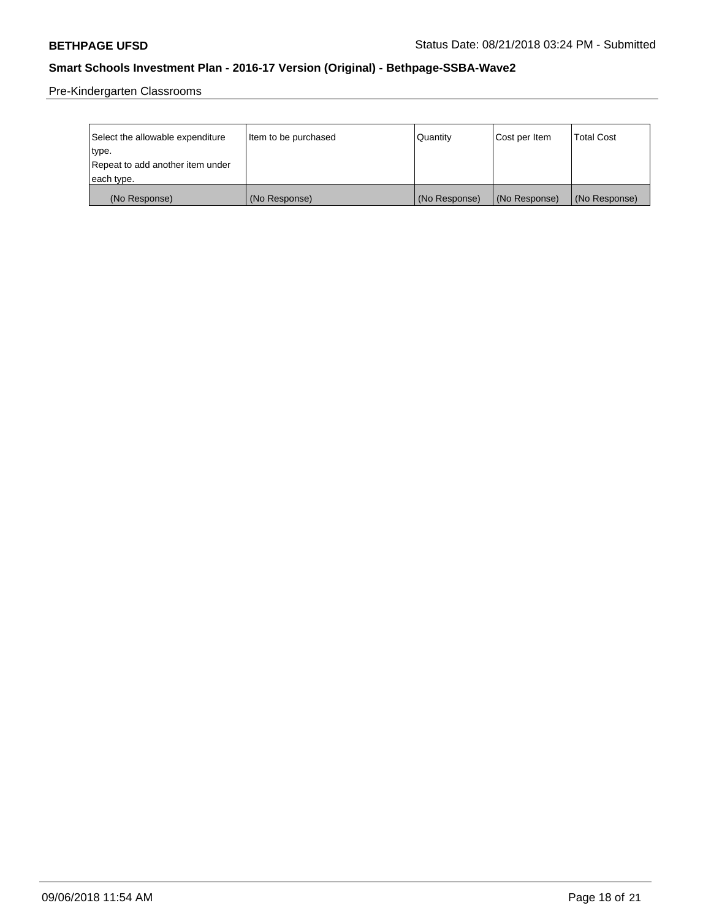Pre-Kindergarten Classrooms

| Select the allowable expenditure | Item to be purchased | Quantity      | Cost per Item | <b>Total Cost</b> |
|----------------------------------|----------------------|---------------|---------------|-------------------|
| type.                            |                      |               |               |                   |
| Repeat to add another item under |                      |               |               |                   |
| each type.                       |                      |               |               |                   |
| (No Response)                    | (No Response)        | (No Response) | (No Response) | (No Response)     |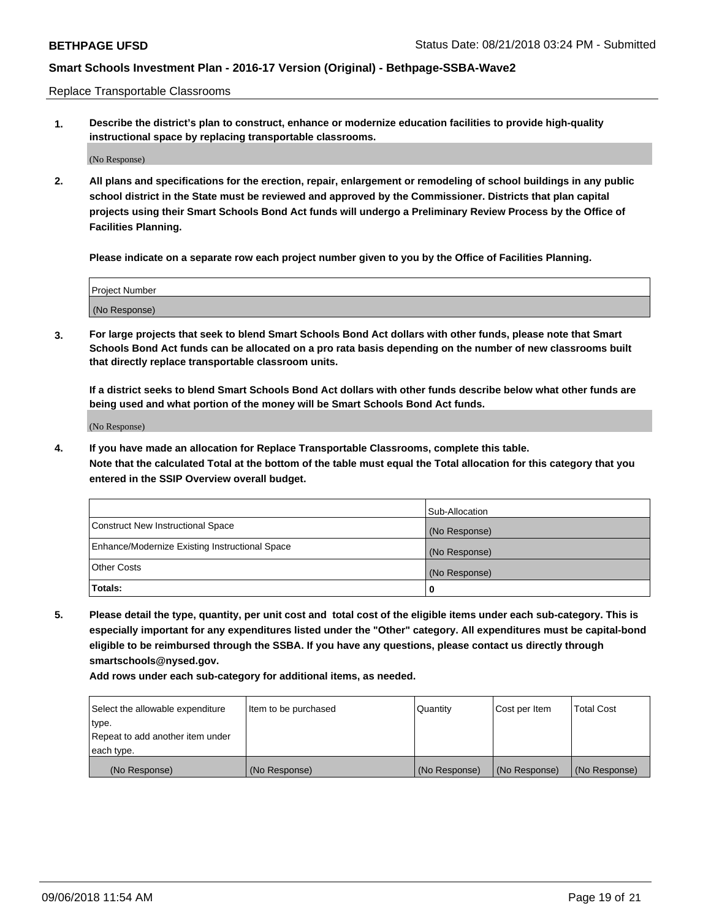Replace Transportable Classrooms

**1. Describe the district's plan to construct, enhance or modernize education facilities to provide high-quality instructional space by replacing transportable classrooms.**

(No Response)

**2. All plans and specifications for the erection, repair, enlargement or remodeling of school buildings in any public school district in the State must be reviewed and approved by the Commissioner. Districts that plan capital projects using their Smart Schools Bond Act funds will undergo a Preliminary Review Process by the Office of Facilities Planning.**

**Please indicate on a separate row each project number given to you by the Office of Facilities Planning.**

| Project Number |  |
|----------------|--|
|                |  |
|                |  |
|                |  |
|                |  |
| (No Response)  |  |
|                |  |
|                |  |
|                |  |

**3. For large projects that seek to blend Smart Schools Bond Act dollars with other funds, please note that Smart Schools Bond Act funds can be allocated on a pro rata basis depending on the number of new classrooms built that directly replace transportable classroom units.**

**If a district seeks to blend Smart Schools Bond Act dollars with other funds describe below what other funds are being used and what portion of the money will be Smart Schools Bond Act funds.**

(No Response)

**4. If you have made an allocation for Replace Transportable Classrooms, complete this table. Note that the calculated Total at the bottom of the table must equal the Total allocation for this category that you entered in the SSIP Overview overall budget.**

|                                                | Sub-Allocation |
|------------------------------------------------|----------------|
| Construct New Instructional Space              | (No Response)  |
| Enhance/Modernize Existing Instructional Space | (No Response)  |
| <b>Other Costs</b>                             | (No Response)  |
| Totals:                                        | 0              |

**5. Please detail the type, quantity, per unit cost and total cost of the eligible items under each sub-category. This is especially important for any expenditures listed under the "Other" category. All expenditures must be capital-bond eligible to be reimbursed through the SSBA. If you have any questions, please contact us directly through smartschools@nysed.gov.**

| Select the allowable expenditure | Item to be purchased | l Quantitv    | Cost per Item | <b>Total Cost</b> |
|----------------------------------|----------------------|---------------|---------------|-------------------|
| type.                            |                      |               |               |                   |
| Repeat to add another item under |                      |               |               |                   |
| each type.                       |                      |               |               |                   |
| (No Response)                    | (No Response)        | (No Response) | (No Response) | (No Response)     |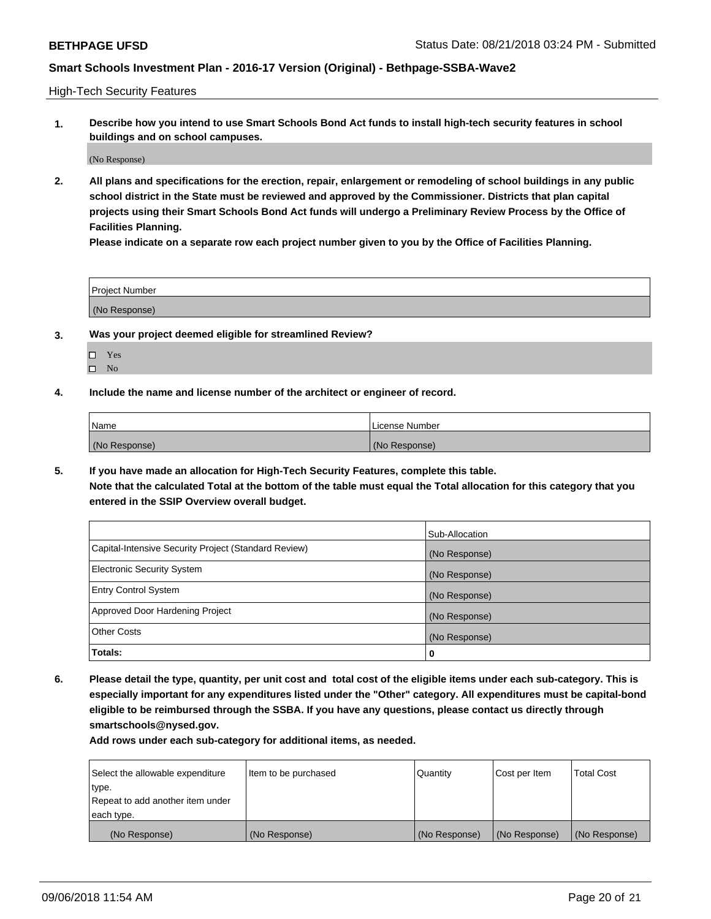High-Tech Security Features

**1. Describe how you intend to use Smart Schools Bond Act funds to install high-tech security features in school buildings and on school campuses.**

(No Response)

**2. All plans and specifications for the erection, repair, enlargement or remodeling of school buildings in any public school district in the State must be reviewed and approved by the Commissioner. Districts that plan capital projects using their Smart Schools Bond Act funds will undergo a Preliminary Review Process by the Office of Facilities Planning.** 

**Please indicate on a separate row each project number given to you by the Office of Facilities Planning.**

| <b>Project Number</b> |  |
|-----------------------|--|
| (No Response)         |  |

- **3. Was your project deemed eligible for streamlined Review?**
	- Yes
	- $\square$  No
- **4. Include the name and license number of the architect or engineer of record.**

| <b>Name</b>   | License Number |
|---------------|----------------|
| (No Response) | (No Response)  |

**5. If you have made an allocation for High-Tech Security Features, complete this table.**

**Note that the calculated Total at the bottom of the table must equal the Total allocation for this category that you entered in the SSIP Overview overall budget.**

|                                                      | Sub-Allocation |
|------------------------------------------------------|----------------|
| Capital-Intensive Security Project (Standard Review) | (No Response)  |
| <b>Electronic Security System</b>                    | (No Response)  |
| <b>Entry Control System</b>                          | (No Response)  |
| Approved Door Hardening Project                      | (No Response)  |
| <b>Other Costs</b>                                   | (No Response)  |
| Totals:                                              | 0              |

**6. Please detail the type, quantity, per unit cost and total cost of the eligible items under each sub-category. This is especially important for any expenditures listed under the "Other" category. All expenditures must be capital-bond eligible to be reimbursed through the SSBA. If you have any questions, please contact us directly through smartschools@nysed.gov.**

| Select the allowable expenditure | Item to be purchased | Quantity      | Cost per Item | <b>Total Cost</b> |
|----------------------------------|----------------------|---------------|---------------|-------------------|
| type.                            |                      |               |               |                   |
| Repeat to add another item under |                      |               |               |                   |
| each type.                       |                      |               |               |                   |
| (No Response)                    | (No Response)        | (No Response) | (No Response) | (No Response)     |